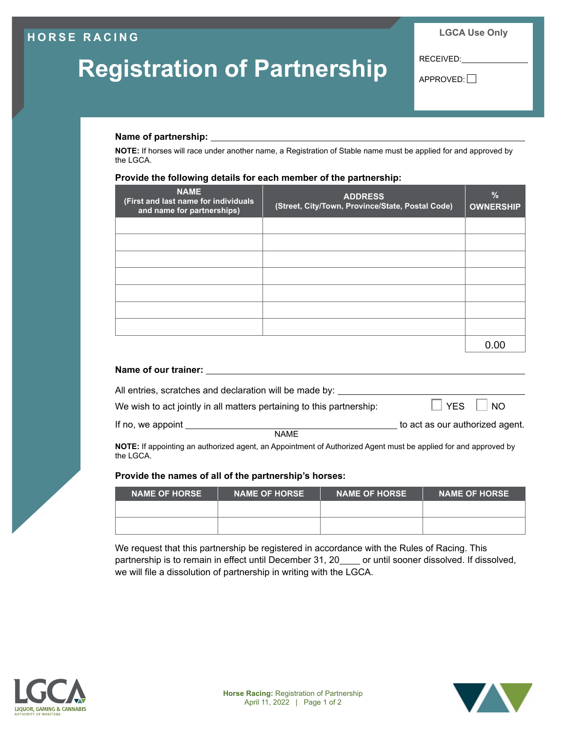## **HORSE RACING**

# **Registration of Partnership**

**LGCA Use Only**

RECEIVED:

APPROVED:

### **Name of partnership:**

**NOTE:** If horses will race under another name, a Registration of Stable name must be applied for and approved by the LGCA.

#### **Provide the following details for each member of the partnership:**

| <b>NAME</b><br>(First and last name for individuals<br>and name for partnerships) | <b>ADDRESS</b><br>(Street, City/Town, Province/State, Postal Code) | $\frac{9}{6}$<br><b>OWNERSHIP</b> |
|-----------------------------------------------------------------------------------|--------------------------------------------------------------------|-----------------------------------|
|                                                                                   |                                                                    |                                   |
|                                                                                   |                                                                    |                                   |
|                                                                                   |                                                                    |                                   |
|                                                                                   |                                                                    |                                   |
|                                                                                   |                                                                    |                                   |
|                                                                                   |                                                                    |                                   |
|                                                                                   |                                                                    |                                   |
|                                                                                   |                                                                    | O.OC                              |

| Name of our trainer:                                                  |                                 |
|-----------------------------------------------------------------------|---------------------------------|
| All entries, scratches and declaration will be made by:               |                                 |
| We wish to act jointly in all matters pertaining to this partnership: | $\Box$ YES<br> NO               |
| If no, we appoint<br><b>NAME</b>                                      | to act as our authorized agent. |

**NOTE:** If appointing an authorized agent, an Appointment of Authorized Agent must be applied for and approved by the LGCA.

#### **Provide the names of all of the partnership's horses:**

| <b>NAME OF HORSE</b> | <b>NAME OF HORSE</b> | <b>NAME OF HORSE</b> | <b>INAME OF HORSE</b> |
|----------------------|----------------------|----------------------|-----------------------|
|                      |                      |                      |                       |
|                      |                      |                      |                       |

We request that this partnership be registered in accordance with the Rules of Racing. This partnership is to remain in effect until December 31, 20 \_\_\_\_ or until sooner dissolved. If dissolved, we will file a dissolution of partnership in writing with the LGCA.